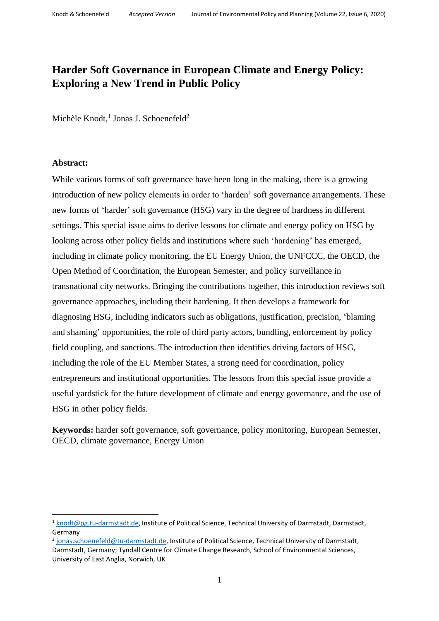# **Harder Soft Governance in European Climate and Energy Policy: Exploring a New Trend in Public Policy**

Michèle Knodt,<sup>1</sup> Jonas J. Schoenefeld<sup>2</sup>

# **Abstract:**

**.** 

While various forms of soft governance have been long in the making, there is a growing introduction of new policy elements in order to 'harden' soft governance arrangements. These new forms of 'harder' soft governance (HSG) vary in the degree of hardness in different settings. This special issue aims to derive lessons for climate and energy policy on HSG by looking across other policy fields and institutions where such 'hardening' has emerged, including in climate policy monitoring, the EU Energy Union, the UNFCCC, the OECD, the Open Method of Coordination, the European Semester, and policy surveillance in transnational city networks. Bringing the contributions together, this introduction reviews soft governance approaches, including their hardening. It then develops a framework for diagnosing HSG, including indicators such as obligations, justification, precision, 'blaming and shaming' opportunities, the role of third party actors, bundling, enforcement by policy field coupling, and sanctions. The introduction then identifies driving factors of HSG, including the role of the EU Member States, a strong need for coordination, policy entrepreneurs and institutional opportunities. The lessons from this special issue provide a useful yardstick for the future development of climate and energy governance, and the use of HSG in other policy fields.

**Keywords:** harder soft governance, soft governance, policy monitoring, European Semester, OECD, climate governance, Energy Union

<sup>&</sup>lt;sup>1</sup> [knodt@pg.tu-darmstadt.de,](mailto:knodt@pg.tu-darmstadt.de) Institute of Political Science, Technical University of Darmstadt, Darmstadt, Germany

<sup>&</sup>lt;sup>2</sup> [jonas.schoenefeld@tu-darmstadt.de,](mailto:jonas.schoenefeld@tu-darmstadt.de) Institute of Political Science, Technical University of Darmstadt, Darmstadt, Germany; Tyndall Centre for Climate Change Research, School of Environmental Sciences, University of East Anglia, Norwich, UK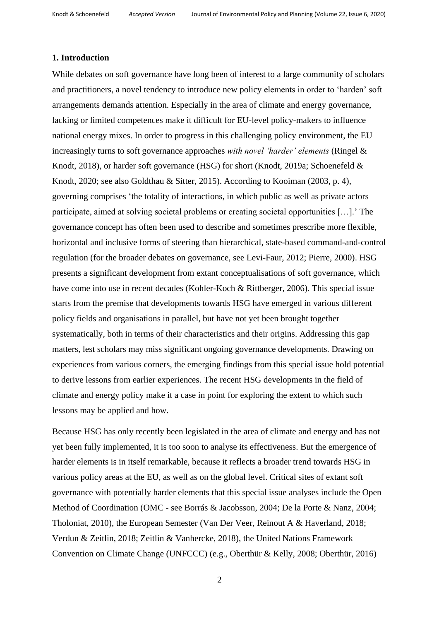# **1. Introduction**

While debates on soft governance have long been of interest to a large community of scholars and practitioners, a novel tendency to introduce new policy elements in order to 'harden' soft arrangements demands attention. Especially in the area of climate and energy governance, lacking or limited competences make it difficult for EU-level policy-makers to influence national energy mixes. In order to progress in this challenging policy environment, the EU increasingly turns to soft governance approaches *with novel 'harder' elements* (Ringel & Knodt, 2018), or harder soft governance (HSG) for short (Knodt, 2019a; Schoenefeld & Knodt, 2020; see also Goldthau & Sitter, 2015). According to Kooiman (2003, p. 4), governing comprises 'the totality of interactions, in which public as well as private actors participate, aimed at solving societal problems or creating societal opportunities […].' The governance concept has often been used to describe and sometimes prescribe more flexible, horizontal and inclusive forms of steering than hierarchical, state-based command-and-control regulation (for the broader debates on governance, see Levi-Faur, 2012; Pierre, 2000). HSG presents a significant development from extant conceptualisations of soft governance, which have come into use in recent decades (Kohler-Koch & Rittberger, 2006). This special issue starts from the premise that developments towards HSG have emerged in various different policy fields and organisations in parallel, but have not yet been brought together systematically, both in terms of their characteristics and their origins. Addressing this gap matters, lest scholars may miss significant ongoing governance developments. Drawing on experiences from various corners, the emerging findings from this special issue hold potential to derive lessons from earlier experiences. The recent HSG developments in the field of climate and energy policy make it a case in point for exploring the extent to which such lessons may be applied and how.

Because HSG has only recently been legislated in the area of climate and energy and has not yet been fully implemented, it is too soon to analyse its effectiveness. But the emergence of harder elements is in itself remarkable, because it reflects a broader trend towards HSG in various policy areas at the EU, as well as on the global level. Critical sites of extant soft governance with potentially harder elements that this special issue analyses include the Open Method of Coordination (OMC - see Borrás & Jacobsson, 2004; De la Porte & Nanz, 2004; Tholoniat, 2010), the European Semester (Van Der Veer, Reinout A & Haverland, 2018; Verdun & Zeitlin, 2018; Zeitlin & Vanhercke, 2018), the United Nations Framework Convention on Climate Change (UNFCCC) (e.g., Oberthür & Kelly, 2008; Oberthür, 2016)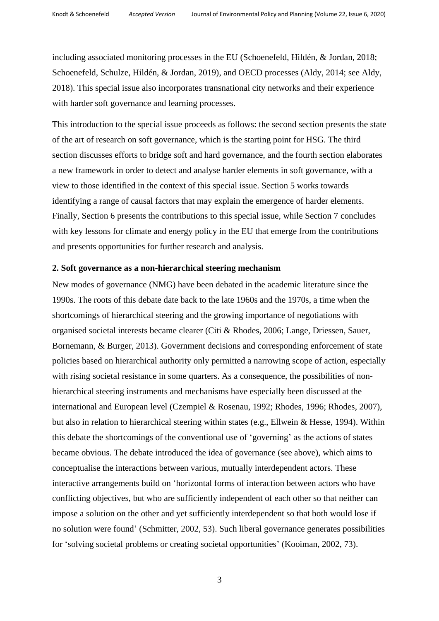including associated monitoring processes in the EU (Schoenefeld, Hildén, & Jordan, 2018; Schoenefeld, Schulze, Hildén, & Jordan, 2019), and OECD processes (Aldy, 2014; see Aldy, 2018). This special issue also incorporates transnational city networks and their experience with harder soft governance and learning processes.

This introduction to the special issue proceeds as follows: the second section presents the state of the art of research on soft governance, which is the starting point for HSG. The third section discusses efforts to bridge soft and hard governance, and the fourth section elaborates a new framework in order to detect and analyse harder elements in soft governance, with a view to those identified in the context of this special issue. Section 5 works towards identifying a range of causal factors that may explain the emergence of harder elements. Finally, Section 6 presents the contributions to this special issue, while Section 7 concludes with key lessons for climate and energy policy in the EU that emerge from the contributions and presents opportunities for further research and analysis.

#### **2. Soft governance as a non-hierarchical steering mechanism**

New modes of governance (NMG) have been debated in the academic literature since the 1990s. The roots of this debate date back to the late 1960s and the 1970s, a time when the shortcomings of hierarchical steering and the growing importance of negotiations with organised societal interests became clearer (Citi & Rhodes, 2006; Lange, Driessen, Sauer, Bornemann, & Burger, 2013). Government decisions and corresponding enforcement of state policies based on hierarchical authority only permitted a narrowing scope of action, especially with rising societal resistance in some quarters. As a consequence, the possibilities of nonhierarchical steering instruments and mechanisms have especially been discussed at the international and European level (Czempiel & Rosenau, 1992; Rhodes, 1996; Rhodes, 2007), but also in relation to hierarchical steering within states (e.g., Ellwein & Hesse, 1994). Within this debate the shortcomings of the conventional use of 'governing' as the actions of states became obvious. The debate introduced the idea of governance (see above), which aims to conceptualise the interactions between various, mutually interdependent actors. These interactive arrangements build on 'horizontal forms of interaction between actors who have conflicting objectives, but who are sufficiently independent of each other so that neither can impose a solution on the other and yet sufficiently interdependent so that both would lose if no solution were found' (Schmitter, 2002, 53). Such liberal governance generates possibilities for 'solving societal problems or creating societal opportunities' (Kooiman, 2002, 73).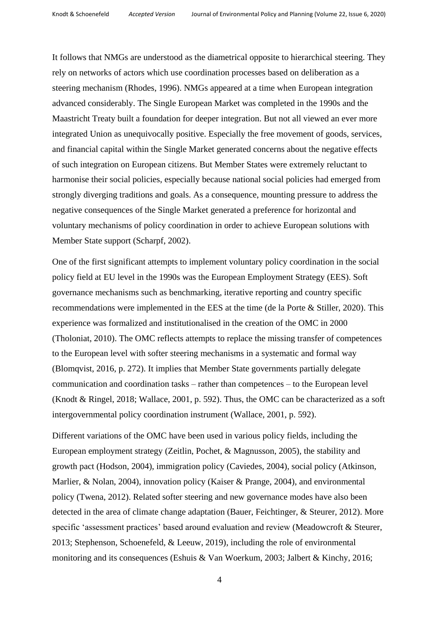It follows that NMGs are understood as the diametrical opposite to hierarchical steering. They rely on networks of actors which use coordination processes based on deliberation as a steering mechanism (Rhodes, 1996). NMGs appeared at a time when European integration advanced considerably. The Single European Market was completed in the 1990s and the Maastricht Treaty built a foundation for deeper integration. But not all viewed an ever more integrated Union as unequivocally positive. Especially the free movement of goods, services, and financial capital within the Single Market generated concerns about the negative effects of such integration on European citizens. But Member States were extremely reluctant to harmonise their social policies, especially because national social policies had emerged from strongly diverging traditions and goals. As a consequence, mounting pressure to address the negative consequences of the Single Market generated a preference for horizontal and voluntary mechanisms of policy coordination in order to achieve European solutions with Member State support (Scharpf, 2002).

One of the first significant attempts to implement voluntary policy coordination in the social policy field at EU level in the 1990s was the European Employment Strategy (EES). Soft governance mechanisms such as benchmarking, iterative reporting and country specific recommendations were implemented in the EES at the time (de la Porte & Stiller, 2020). This experience was formalized and institutionalised in the creation of the OMC in 2000 (Tholoniat, 2010). The OMC reflects attempts to replace the missing transfer of competences to the European level with softer steering mechanisms in a systematic and formal way (Blomqvist, 2016, p. 272). It implies that Member State governments partially delegate communication and coordination tasks – rather than competences – to the European level (Knodt & Ringel, 2018; Wallace, 2001, p. 592). Thus, the OMC can be characterized as a soft intergovernmental policy coordination instrument (Wallace, 2001, p. 592).

Different variations of the OMC have been used in various policy fields, including the European employment strategy (Zeitlin, Pochet, & Magnusson, 2005), the stability and growth pact (Hodson, 2004), immigration policy (Caviedes, 2004), social policy (Atkinson, Marlier, & Nolan, 2004), innovation policy (Kaiser & Prange, 2004), and environmental policy (Twena, 2012). Related softer steering and new governance modes have also been detected in the area of climate change adaptation (Bauer, Feichtinger, & Steurer, 2012). More specific 'assessment practices' based around evaluation and review (Meadowcroft & Steurer, 2013; Stephenson, Schoenefeld, & Leeuw, 2019), including the role of environmental monitoring and its consequences (Eshuis & Van Woerkum, 2003; Jalbert & Kinchy, 2016;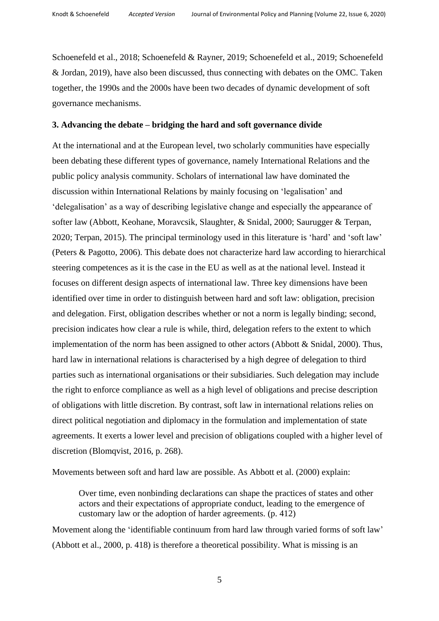Schoenefeld et al., 2018; Schoenefeld & Rayner, 2019; Schoenefeld et al., 2019; Schoenefeld & Jordan, 2019), have also been discussed, thus connecting with debates on the OMC. Taken together, the 1990s and the 2000s have been two decades of dynamic development of soft governance mechanisms.

## **3. Advancing the debate – bridging the hard and soft governance divide**

At the international and at the European level, two scholarly communities have especially been debating these different types of governance, namely International Relations and the public policy analysis community. Scholars of international law have dominated the discussion within International Relations by mainly focusing on 'legalisation' and 'delegalisation' as a way of describing legislative change and especially the appearance of softer law (Abbott, Keohane, Moravcsik, Slaughter, & Snidal, 2000; Saurugger & Terpan, 2020; Terpan, 2015). The principal terminology used in this literature is 'hard' and 'soft law' (Peters & Pagotto, 2006). This debate does not characterize hard law according to hierarchical steering competences as it is the case in the EU as well as at the national level. Instead it focuses on different design aspects of international law. Three key dimensions have been identified over time in order to distinguish between hard and soft law: obligation, precision and delegation. First, obligation describes whether or not a norm is legally binding; second, precision indicates how clear a rule is while, third, delegation refers to the extent to which implementation of the norm has been assigned to other actors (Abbott & Snidal, 2000). Thus, hard law in international relations is characterised by a high degree of delegation to third parties such as international organisations or their subsidiaries. Such delegation may include the right to enforce compliance as well as a high level of obligations and precise description of obligations with little discretion. By contrast, soft law in international relations relies on direct political negotiation and diplomacy in the formulation and implementation of state agreements. It exerts a lower level and precision of obligations coupled with a higher level of discretion (Blomqvist, 2016, p. 268).

Movements between soft and hard law are possible. As Abbott et al. (2000) explain:

Over time, even nonbinding declarations can shape the practices of states and other actors and their expectations of appropriate conduct, leading to the emergence of customary law or the adoption of harder agreements. (p. 412)

Movement along the 'identifiable continuum from hard law through varied forms of soft law' (Abbott et al., 2000, p. 418) is therefore a theoretical possibility. What is missing is an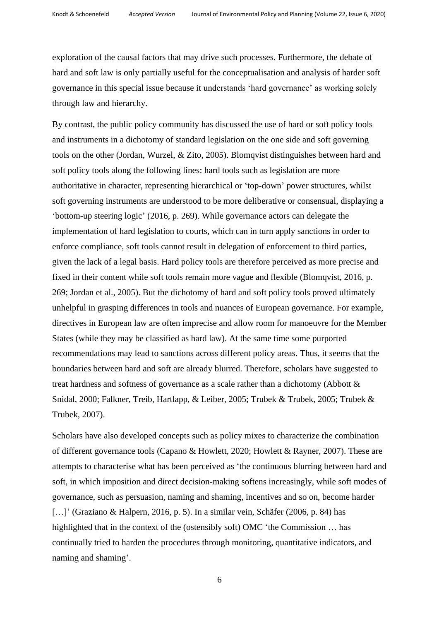exploration of the causal factors that may drive such processes. Furthermore, the debate of hard and soft law is only partially useful for the conceptualisation and analysis of harder soft governance in this special issue because it understands 'hard governance' as working solely through law and hierarchy.

By contrast, the public policy community has discussed the use of hard or soft policy tools and instruments in a dichotomy of standard legislation on the one side and soft governing tools on the other (Jordan, Wurzel, & Zito, 2005). Blomqvist distinguishes between hard and soft policy tools along the following lines: hard tools such as legislation are more authoritative in character, representing hierarchical or 'top-down' power structures, whilst soft governing instruments are understood to be more deliberative or consensual, displaying a 'bottom-up steering logic' (2016, p. 269). While governance actors can delegate the implementation of hard legislation to courts, which can in turn apply sanctions in order to enforce compliance, soft tools cannot result in delegation of enforcement to third parties, given the lack of a legal basis. Hard policy tools are therefore perceived as more precise and fixed in their content while soft tools remain more vague and flexible (Blomqvist, 2016, p. 269; Jordan et al., 2005). But the dichotomy of hard and soft policy tools proved ultimately unhelpful in grasping differences in tools and nuances of European governance. For example, directives in European law are often imprecise and allow room for manoeuvre for the Member States (while they may be classified as hard law). At the same time some purported recommendations may lead to sanctions across different policy areas. Thus, it seems that the boundaries between hard and soft are already blurred. Therefore, scholars have suggested to treat hardness and softness of governance as a scale rather than a dichotomy (Abbott & Snidal, 2000; Falkner, Treib, Hartlapp, & Leiber, 2005; Trubek & Trubek, 2005; Trubek & Trubek, 2007).

Scholars have also developed concepts such as policy mixes to characterize the combination of different governance tools (Capano & Howlett, 2020; Howlett & Rayner, 2007). These are attempts to characterise what has been perceived as 'the continuous blurring between hard and soft, in which imposition and direct decision-making softens increasingly, while soft modes of governance, such as persuasion, naming and shaming, incentives and so on, become harder [...]' (Graziano & Halpern, 2016, p. 5). In a similar vein, Schäfer (2006, p. 84) has highlighted that in the context of the (ostensibly soft) OMC 'the Commission … has continually tried to harden the procedures through monitoring, quantitative indicators, and naming and shaming'.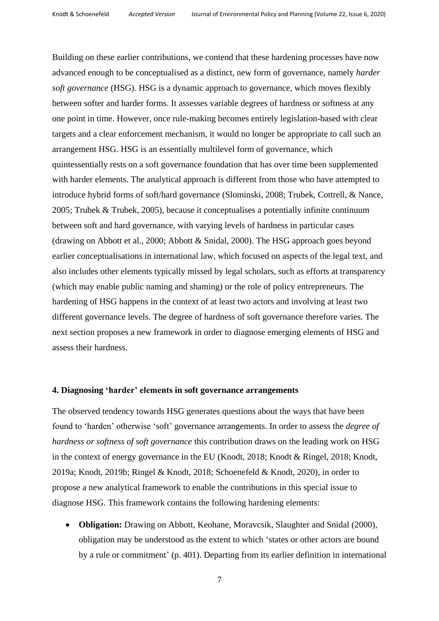Building on these earlier contributions, we contend that these hardening processes have now advanced enough to be conceptualised as a distinct, new form of governance, namely *harder soft governance* (HSG). HSG is a dynamic approach to governance, which moves flexibly between softer and harder forms. It assesses variable degrees of hardness or softness at any one point in time. However, once rule-making becomes entirely legislation-based with clear targets and a clear enforcement mechanism, it would no longer be appropriate to call such an arrangement HSG. HSG is an essentially multilevel form of governance, which quintessentially rests on a soft governance foundation that has over time been supplemented with harder elements. The analytical approach is different from those who have attempted to introduce hybrid forms of soft/hard governance (Slominski, 2008; Trubek, Cottrell, & Nance, 2005; Trubek & Trubek, 2005), because it conceptualises a potentially infinite continuum between soft and hard governance, with varying levels of hardness in particular cases (drawing on Abbott et al., 2000; Abbott & Snidal, 2000). The HSG approach goes beyond earlier conceptualisations in international law, which focused on aspects of the legal text, and also includes other elements typically missed by legal scholars, such as efforts at transparency (which may enable public naming and shaming) or the role of policy entrepreneurs. The hardening of HSG happens in the context of at least two actors and involving at least two different governance levels. The degree of hardness of soft governance therefore varies. The next section proposes a new framework in order to diagnose emerging elements of HSG and assess their hardness.

### **4. Diagnosing 'harder' elements in soft governance arrangements**

The observed tendency towards HSG generates questions about the ways that have been found to 'harden' otherwise 'soft' governance arrangements. In order to assess the *degree of hardness or softness of soft governance* this contribution draws on the leading work on HSG in the context of energy governance in the EU (Knodt, 2018; Knodt & Ringel, 2018; Knodt, 2019a; Knodt, 2019b; Ringel & Knodt, 2018; Schoenefeld & Knodt, 2020), in order to propose a new analytical framework to enable the contributions in this special issue to diagnose HSG. This framework contains the following hardening elements:

 **Obligation:** Drawing on Abbott, Keohane, Moravcsik, Slaughter and Snidal (2000), obligation may be understood as the extent to which 'states or other actors are bound by a rule or commitment' (p. 401). Departing from its earlier definition in international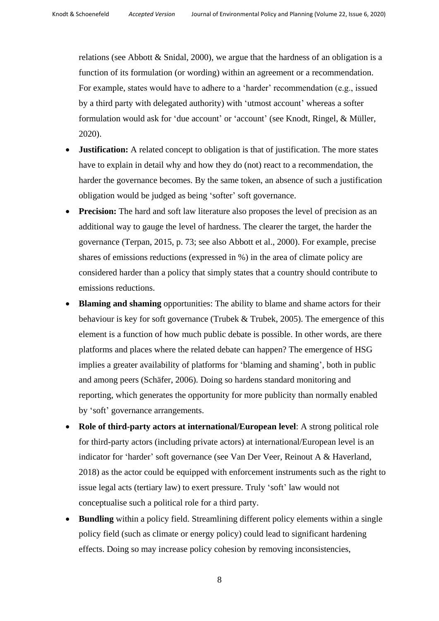relations (see Abbott & Snidal, 2000), we argue that the hardness of an obligation is a function of its formulation (or wording) within an agreement or a recommendation. For example, states would have to adhere to a 'harder' recommendation (e.g., issued by a third party with delegated authority) with 'utmost account' whereas a softer formulation would ask for 'due account' or 'account' (see Knodt, Ringel, & Müller, 2020).

- **Justification:** A related concept to obligation is that of justification. The more states have to explain in detail why and how they do (not) react to a recommendation, the harder the governance becomes. By the same token, an absence of such a justification obligation would be judged as being 'softer' soft governance.
- **Precision:** The hard and soft law literature also proposes the level of precision as an additional way to gauge the level of hardness. The clearer the target, the harder the governance (Terpan, 2015, p. 73; see also Abbott et al., 2000). For example, precise shares of emissions reductions (expressed in %) in the area of climate policy are considered harder than a policy that simply states that a country should contribute to emissions reductions.
- **Blaming and shaming** opportunities: The ability to blame and shame actors for their behaviour is key for soft governance (Trubek & Trubek, 2005). The emergence of this element is a function of how much public debate is possible. In other words, are there platforms and places where the related debate can happen? The emergence of HSG implies a greater availability of platforms for 'blaming and shaming', both in public and among peers (Schäfer, 2006). Doing so hardens standard monitoring and reporting, which generates the opportunity for more publicity than normally enabled by 'soft' governance arrangements.
- **Role of third-party actors at international/European level**: A strong political role for third-party actors (including private actors) at international/European level is an indicator for 'harder' soft governance (see Van Der Veer, Reinout A & Haverland, 2018) as the actor could be equipped with enforcement instruments such as the right to issue legal acts (tertiary law) to exert pressure. Truly 'soft' law would not conceptualise such a political role for a third party.
- **Bundling** within a policy field. Streamlining different policy elements within a single policy field (such as climate or energy policy) could lead to significant hardening effects. Doing so may increase policy cohesion by removing inconsistencies,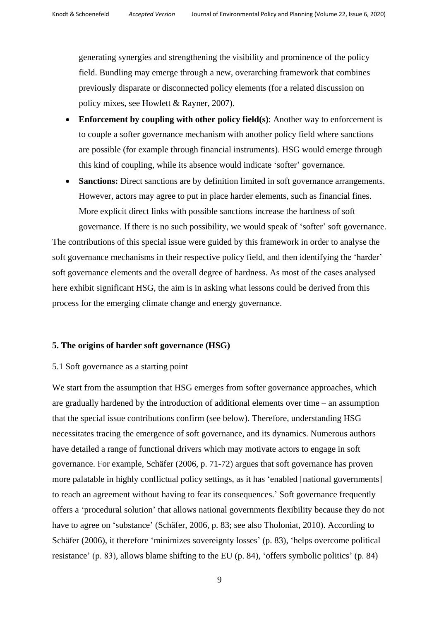generating synergies and strengthening the visibility and prominence of the policy field. Bundling may emerge through a new, overarching framework that combines previously disparate or disconnected policy elements (for a related discussion on policy mixes, see Howlett & Rayner, 2007).

- **Enforcement by coupling with other policy field(s)**: Another way to enforcement is to couple a softer governance mechanism with another policy field where sanctions are possible (for example through financial instruments). HSG would emerge through this kind of coupling, while its absence would indicate 'softer' governance.
- **Sanctions:** Direct sanctions are by definition limited in soft governance arrangements. However, actors may agree to put in place harder elements, such as financial fines. More explicit direct links with possible sanctions increase the hardness of soft governance. If there is no such possibility, we would speak of 'softer' soft governance.

The contributions of this special issue were guided by this framework in order to analyse the soft governance mechanisms in their respective policy field, and then identifying the 'harder' soft governance elements and the overall degree of hardness. As most of the cases analysed here exhibit significant HSG, the aim is in asking what lessons could be derived from this process for the emerging climate change and energy governance.

# **5. The origins of harder soft governance (HSG)**

# 5.1 Soft governance as a starting point

We start from the assumption that HSG emerges from softer governance approaches, which are gradually hardened by the introduction of additional elements over time – an assumption that the special issue contributions confirm (see below). Therefore, understanding HSG necessitates tracing the emergence of soft governance, and its dynamics. Numerous authors have detailed a range of functional drivers which may motivate actors to engage in soft governance. For example, Schäfer (2006, p. 71-72) argues that soft governance has proven more palatable in highly conflictual policy settings, as it has 'enabled [national governments] to reach an agreement without having to fear its consequences.' Soft governance frequently offers a 'procedural solution' that allows national governments flexibility because they do not have to agree on 'substance' (Schäfer, 2006, p. 83; see also Tholoniat, 2010). According to Schäfer (2006), it therefore 'minimizes sovereignty losses' (p. 83), 'helps overcome political resistance' (p. 83), allows blame shifting to the EU (p. 84), 'offers symbolic politics' (p. 84)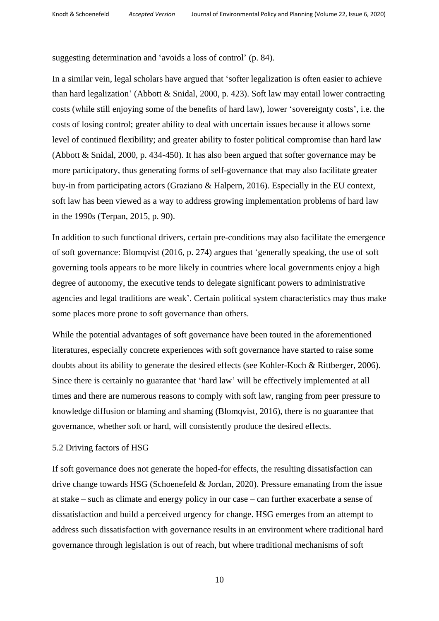suggesting determination and 'avoids a loss of control' (p. 84).

In a similar vein, legal scholars have argued that 'softer legalization is often easier to achieve than hard legalization' (Abbott & Snidal, 2000, p. 423). Soft law may entail lower contracting costs (while still enjoying some of the benefits of hard law), lower 'sovereignty costs', i.e. the costs of losing control; greater ability to deal with uncertain issues because it allows some level of continued flexibility; and greater ability to foster political compromise than hard law (Abbott & Snidal, 2000, p. 434-450). It has also been argued that softer governance may be more participatory, thus generating forms of self-governance that may also facilitate greater buy-in from participating actors (Graziano & Halpern, 2016). Especially in the EU context, soft law has been viewed as a way to address growing implementation problems of hard law in the 1990s (Terpan, 2015, p. 90).

In addition to such functional drivers, certain pre-conditions may also facilitate the emergence of soft governance: Blomqvist (2016, p. 274) argues that 'generally speaking, the use of soft governing tools appears to be more likely in countries where local governments enjoy a high degree of autonomy, the executive tends to delegate significant powers to administrative agencies and legal traditions are weak'. Certain political system characteristics may thus make some places more prone to soft governance than others.

While the potential advantages of soft governance have been touted in the aforementioned literatures, especially concrete experiences with soft governance have started to raise some doubts about its ability to generate the desired effects (see Kohler-Koch & Rittberger, 2006). Since there is certainly no guarantee that 'hard law' will be effectively implemented at all times and there are numerous reasons to comply with soft law, ranging from peer pressure to knowledge diffusion or blaming and shaming (Blomqvist, 2016), there is no guarantee that governance, whether soft or hard, will consistently produce the desired effects.

### 5.2 Driving factors of HSG

If soft governance does not generate the hoped-for effects, the resulting dissatisfaction can drive change towards HSG (Schoenefeld & Jordan, 2020). Pressure emanating from the issue at stake – such as climate and energy policy in our case – can further exacerbate a sense of dissatisfaction and build a perceived urgency for change. HSG emerges from an attempt to address such dissatisfaction with governance results in an environment where traditional hard governance through legislation is out of reach, but where traditional mechanisms of soft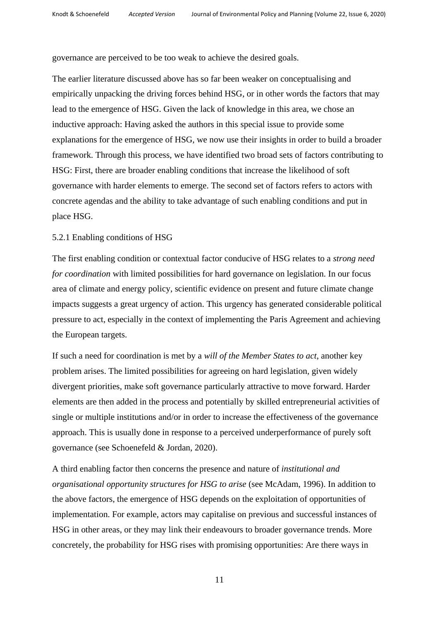governance are perceived to be too weak to achieve the desired goals.

The earlier literature discussed above has so far been weaker on conceptualising and empirically unpacking the driving forces behind HSG, or in other words the factors that may lead to the emergence of HSG. Given the lack of knowledge in this area, we chose an inductive approach: Having asked the authors in this special issue to provide some explanations for the emergence of HSG, we now use their insights in order to build a broader framework. Through this process, we have identified two broad sets of factors contributing to HSG: First, there are broader enabling conditions that increase the likelihood of soft governance with harder elements to emerge. The second set of factors refers to actors with concrete agendas and the ability to take advantage of such enabling conditions and put in place HSG.

### 5.2.1 Enabling conditions of HSG

The first enabling condition or contextual factor conducive of HSG relates to a *strong need for coordination* with limited possibilities for hard governance on legislation. In our focus area of climate and energy policy, scientific evidence on present and future climate change impacts suggests a great urgency of action. This urgency has generated considerable political pressure to act, especially in the context of implementing the Paris Agreement and achieving the European targets.

If such a need for coordination is met by a *will of the Member States to act*, another key problem arises. The limited possibilities for agreeing on hard legislation, given widely divergent priorities, make soft governance particularly attractive to move forward. Harder elements are then added in the process and potentially by skilled entrepreneurial activities of single or multiple institutions and/or in order to increase the effectiveness of the governance approach. This is usually done in response to a perceived underperformance of purely soft governance (see Schoenefeld & Jordan, 2020).

A third enabling factor then concerns the presence and nature of *institutional and organisational opportunity structures for HSG to arise* (see McAdam, 1996). In addition to the above factors, the emergence of HSG depends on the exploitation of opportunities of implementation. For example, actors may capitalise on previous and successful instances of HSG in other areas, or they may link their endeavours to broader governance trends. More concretely, the probability for HSG rises with promising opportunities: Are there ways in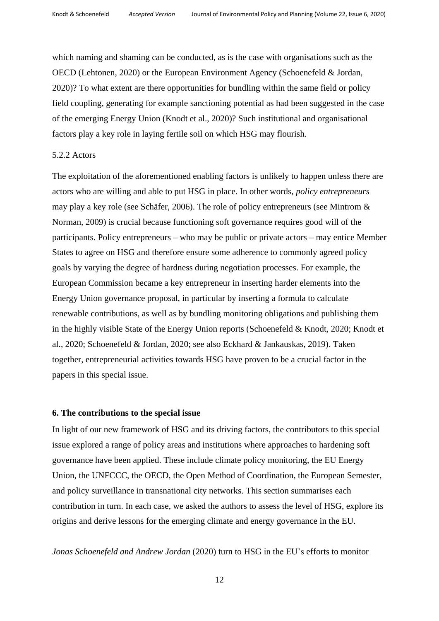which naming and shaming can be conducted, as is the case with organisations such as the OECD (Lehtonen, 2020) or the European Environment Agency (Schoenefeld & Jordan, 2020)? To what extent are there opportunities for bundling within the same field or policy field coupling, generating for example sanctioning potential as had been suggested in the case of the emerging Energy Union (Knodt et al., 2020)? Such institutional and organisational factors play a key role in laying fertile soil on which HSG may flourish.

#### 5.2.2 Actors

The exploitation of the aforementioned enabling factors is unlikely to happen unless there are actors who are willing and able to put HSG in place. In other words, *policy entrepreneurs* may play a key role (see Schäfer, 2006). The role of policy entrepreneurs (see Mintrom & Norman, 2009) is crucial because functioning soft governance requires good will of the participants. Policy entrepreneurs – who may be public or private actors – may entice Member States to agree on HSG and therefore ensure some adherence to commonly agreed policy goals by varying the degree of hardness during negotiation processes. For example, the European Commission became a key entrepreneur in inserting harder elements into the Energy Union governance proposal, in particular by inserting a formula to calculate renewable contributions, as well as by bundling monitoring obligations and publishing them in the highly visible State of the Energy Union reports (Schoenefeld & Knodt, 2020; Knodt et al., 2020; Schoenefeld & Jordan, 2020; see also Eckhard & Jankauskas, 2019). Taken together, entrepreneurial activities towards HSG have proven to be a crucial factor in the papers in this special issue.

#### **6. The contributions to the special issue**

In light of our new framework of HSG and its driving factors, the contributors to this special issue explored a range of policy areas and institutions where approaches to hardening soft governance have been applied. These include climate policy monitoring, the EU Energy Union, the UNFCCC, the OECD, the Open Method of Coordination, the European Semester, and policy surveillance in transnational city networks. This section summarises each contribution in turn. In each case, we asked the authors to assess the level of HSG, explore its origins and derive lessons for the emerging climate and energy governance in the EU.

*Jonas Schoenefeld and Andrew Jordan* (2020) turn to HSG in the EU's efforts to monitor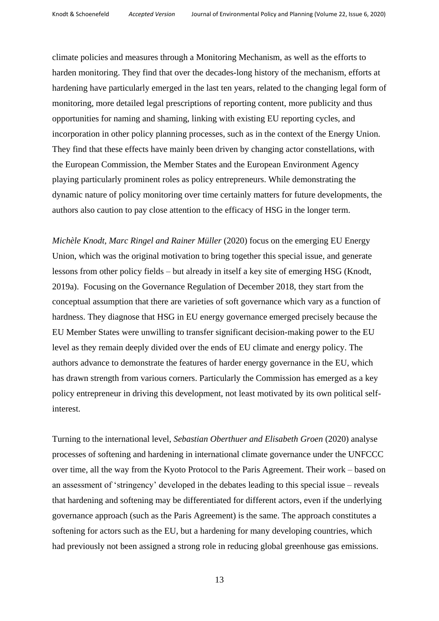climate policies and measures through a Monitoring Mechanism, as well as the efforts to harden monitoring. They find that over the decades-long history of the mechanism, efforts at hardening have particularly emerged in the last ten years, related to the changing legal form of monitoring, more detailed legal prescriptions of reporting content, more publicity and thus opportunities for naming and shaming, linking with existing EU reporting cycles, and incorporation in other policy planning processes, such as in the context of the Energy Union. They find that these effects have mainly been driven by changing actor constellations, with the European Commission, the Member States and the European Environment Agency playing particularly prominent roles as policy entrepreneurs. While demonstrating the dynamic nature of policy monitoring over time certainly matters for future developments, the authors also caution to pay close attention to the efficacy of HSG in the longer term.

*Michèle Knodt, Marc Ringel and Rainer Müller* (2020) focus on the emerging EU Energy Union, which was the original motivation to bring together this special issue, and generate lessons from other policy fields – but already in itself a key site of emerging HSG (Knodt, 2019a). Focusing on the Governance Regulation of December 2018, they start from the conceptual assumption that there are varieties of soft governance which vary as a function of hardness. They diagnose that HSG in EU energy governance emerged precisely because the EU Member States were unwilling to transfer significant decision-making power to the EU level as they remain deeply divided over the ends of EU climate and energy policy. The authors advance to demonstrate the features of harder energy governance in the EU, which has drawn strength from various corners. Particularly the Commission has emerged as a key policy entrepreneur in driving this development, not least motivated by its own political selfinterest.

Turning to the international level, *Sebastian Oberthuer and Elisabeth Groen* (2020) analyse processes of softening and hardening in international climate governance under the UNFCCC over time, all the way from the Kyoto Protocol to the Paris Agreement. Their work – based on an assessment of 'stringency' developed in the debates leading to this special issue – reveals that hardening and softening may be differentiated for different actors, even if the underlying governance approach (such as the Paris Agreement) is the same. The approach constitutes a softening for actors such as the EU, but a hardening for many developing countries, which had previously not been assigned a strong role in reducing global greenhouse gas emissions.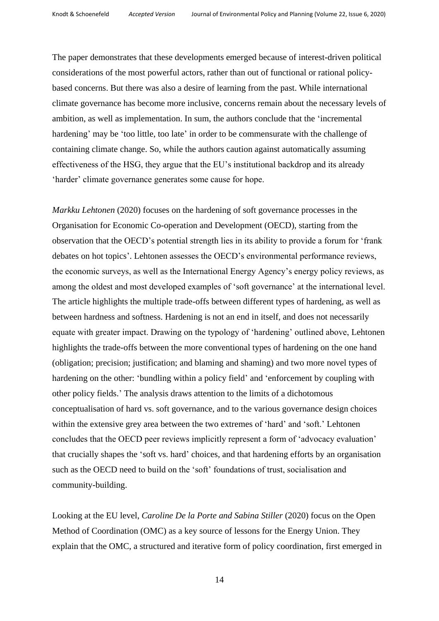The paper demonstrates that these developments emerged because of interest-driven political considerations of the most powerful actors, rather than out of functional or rational policybased concerns. But there was also a desire of learning from the past. While international climate governance has become more inclusive, concerns remain about the necessary levels of ambition, as well as implementation. In sum, the authors conclude that the 'incremental hardening' may be 'too little, too late' in order to be commensurate with the challenge of containing climate change. So, while the authors caution against automatically assuming effectiveness of the HSG, they argue that the EU's institutional backdrop and its already 'harder' climate governance generates some cause for hope.

*Markku Lehtonen* (2020) focuses on the hardening of soft governance processes in the Organisation for Economic Co-operation and Development (OECD), starting from the observation that the OECD's potential strength lies in its ability to provide a forum for 'frank debates on hot topics'. Lehtonen assesses the OECD's environmental performance reviews, the economic surveys, as well as the International Energy Agency's energy policy reviews, as among the oldest and most developed examples of 'soft governance' at the international level. The article highlights the multiple trade-offs between different types of hardening, as well as between hardness and softness. Hardening is not an end in itself, and does not necessarily equate with greater impact. Drawing on the typology of 'hardening' outlined above, Lehtonen highlights the trade-offs between the more conventional types of hardening on the one hand (obligation; precision; justification; and blaming and shaming) and two more novel types of hardening on the other: 'bundling within a policy field' and 'enforcement by coupling with other policy fields.' The analysis draws attention to the limits of a dichotomous conceptualisation of hard vs. soft governance, and to the various governance design choices within the extensive grey area between the two extremes of 'hard' and 'soft.' Lehtonen concludes that the OECD peer reviews implicitly represent a form of 'advocacy evaluation' that crucially shapes the 'soft vs. hard' choices, and that hardening efforts by an organisation such as the OECD need to build on the 'soft' foundations of trust, socialisation and community-building.

Looking at the EU level, *Caroline De la Porte and Sabina Stiller* (2020) focus on the Open Method of Coordination (OMC) as a key source of lessons for the Energy Union. They explain that the OMC, a structured and iterative form of policy coordination, first emerged in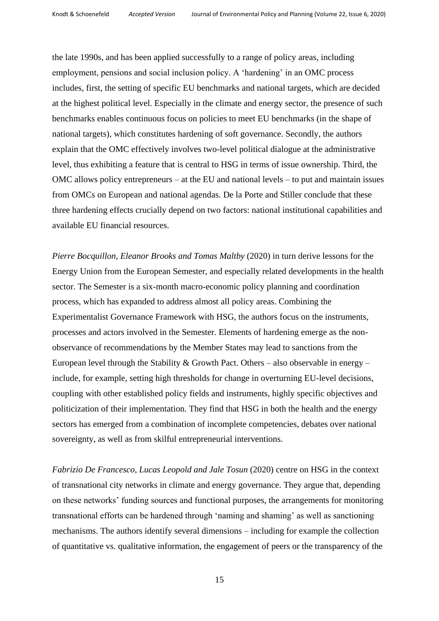the late 1990s, and has been applied successfully to a range of policy areas, including employment, pensions and social inclusion policy. A 'hardening' in an OMC process includes, first, the setting of specific EU benchmarks and national targets, which are decided at the highest political level. Especially in the climate and energy sector, the presence of such benchmarks enables continuous focus on policies to meet EU benchmarks (in the shape of national targets), which constitutes hardening of soft governance. Secondly, the authors explain that the OMC effectively involves two-level political dialogue at the administrative level, thus exhibiting a feature that is central to HSG in terms of issue ownership. Third, the OMC allows policy entrepreneurs – at the EU and national levels – to put and maintain issues from OMCs on European and national agendas. De la Porte and Stiller conclude that these three hardening effects crucially depend on two factors: national institutional capabilities and available EU financial resources.

*Pierre Bocquillon, Eleanor Brooks and Tomas Maltby* (2020) in turn derive lessons for the Energy Union from the European Semester, and especially related developments in the health sector. The Semester is a six-month macro-economic policy planning and coordination process, which has expanded to address almost all policy areas. Combining the Experimentalist Governance Framework with HSG, the authors focus on the instruments, processes and actors involved in the Semester. Elements of hardening emerge as the nonobservance of recommendations by the Member States may lead to sanctions from the European level through the Stability & Growth Pact. Others – also observable in energy – include, for example, setting high thresholds for change in overturning EU-level decisions, coupling with other established policy fields and instruments, highly specific objectives and politicization of their implementation. They find that HSG in both the health and the energy sectors has emerged from a combination of incomplete competencies, debates over national sovereignty, as well as from skilful entrepreneurial interventions.

*Fabrizio De Francesco, Lucas Leopold and Jale Tosun* (2020) centre on HSG in the context of transnational city networks in climate and energy governance. They argue that, depending on these networks' funding sources and functional purposes, the arrangements for monitoring transnational efforts can be hardened through 'naming and shaming' as well as sanctioning mechanisms. The authors identify several dimensions – including for example the collection of quantitative vs. qualitative information, the engagement of peers or the transparency of the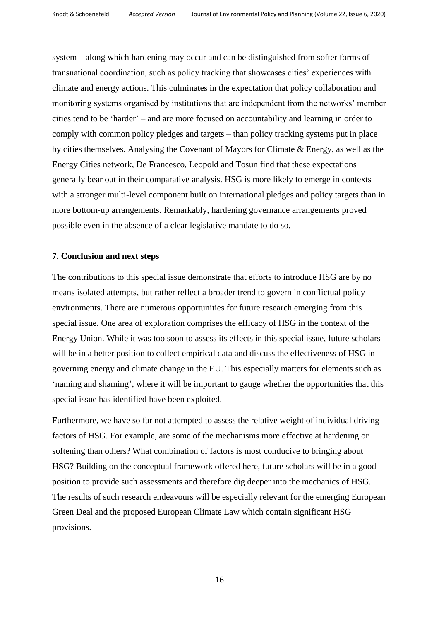system – along which hardening may occur and can be distinguished from softer forms of transnational coordination, such as policy tracking that showcases cities' experiences with climate and energy actions. This culminates in the expectation that policy collaboration and monitoring systems organised by institutions that are independent from the networks' member cities tend to be 'harder' – and are more focused on accountability and learning in order to comply with common policy pledges and targets – than policy tracking systems put in place by cities themselves. Analysing the Covenant of Mayors for Climate & Energy, as well as the Energy Cities network, De Francesco, Leopold and Tosun find that these expectations generally bear out in their comparative analysis. HSG is more likely to emerge in contexts with a stronger multi-level component built on international pledges and policy targets than in more bottom-up arrangements. Remarkably, hardening governance arrangements proved possible even in the absence of a clear legislative mandate to do so.

## **7. Conclusion and next steps**

The contributions to this special issue demonstrate that efforts to introduce HSG are by no means isolated attempts, but rather reflect a broader trend to govern in conflictual policy environments. There are numerous opportunities for future research emerging from this special issue. One area of exploration comprises the efficacy of HSG in the context of the Energy Union. While it was too soon to assess its effects in this special issue, future scholars will be in a better position to collect empirical data and discuss the effectiveness of HSG in governing energy and climate change in the EU. This especially matters for elements such as 'naming and shaming', where it will be important to gauge whether the opportunities that this special issue has identified have been exploited.

Furthermore, we have so far not attempted to assess the relative weight of individual driving factors of HSG. For example, are some of the mechanisms more effective at hardening or softening than others? What combination of factors is most conducive to bringing about HSG? Building on the conceptual framework offered here, future scholars will be in a good position to provide such assessments and therefore dig deeper into the mechanics of HSG. The results of such research endeavours will be especially relevant for the emerging European Green Deal and the proposed European Climate Law which contain significant HSG provisions.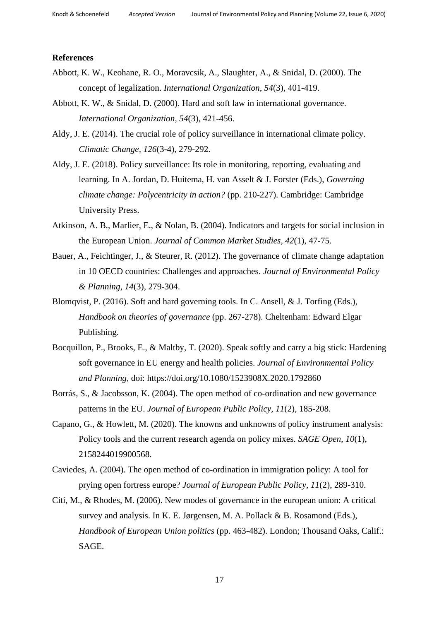#### **References**

- Abbott, K. W., Keohane, R. O., Moravcsik, A., Slaughter, A., & Snidal, D. (2000). The concept of legalization. *International Organization, 54*(3), 401-419.
- Abbott, K. W., & Snidal, D. (2000). Hard and soft law in international governance. *International Organization, 54*(3), 421-456.
- Aldy, J. E. (2014). The crucial role of policy surveillance in international climate policy. *Climatic Change, 126*(3-4), 279-292.
- Aldy, J. E. (2018). Policy surveillance: Its role in monitoring, reporting, evaluating and learning. In A. Jordan, D. Huitema, H. van Asselt & J. Forster (Eds.), *Governing climate change: Polycentricity in action?* (pp. 210-227). Cambridge: Cambridge University Press.
- Atkinson, A. B., Marlier, E., & Nolan, B. (2004). Indicators and targets for social inclusion in the European Union. *Journal of Common Market Studies, 42*(1), 47-75.
- Bauer, A., Feichtinger, J., & Steurer, R. (2012). The governance of climate change adaptation in 10 OECD countries: Challenges and approaches. *Journal of Environmental Policy & Planning, 14*(3), 279-304.
- Blomqvist, P. (2016). Soft and hard governing tools. In C. Ansell, & J. Torfing (Eds.), *Handbook on theories of governance* (pp. 267-278). Cheltenham: Edward Elgar Publishing.
- Bocquillon, P., Brooks, E., & Maltby, T. (2020). Speak softly and carry a big stick: Hardening soft governance in EU energy and health policies. *Journal of Environmental Policy and Planning,* doi: https://doi.org/10.1080/1523908X.2020.1792860
- Borrás, S., & Jacobsson, K. (2004). The open method of co-ordination and new governance patterns in the EU. *Journal of European Public Policy, 11*(2), 185-208.
- Capano, G., & Howlett, M. (2020). The knowns and unknowns of policy instrument analysis: Policy tools and the current research agenda on policy mixes. *SAGE Open, 10*(1), 2158244019900568.
- Caviedes, A. (2004). The open method of co-ordination in immigration policy: A tool for prying open fortress europe? *Journal of European Public Policy, 11*(2), 289-310.
- Citi, M., & Rhodes, M. (2006). New modes of governance in the european union: A critical survey and analysis. In K. E. Jørgensen, M. A. Pollack & B. Rosamond (Eds.), *Handbook of European Union politics* (pp. 463-482). London; Thousand Oaks, Calif.: SAGE.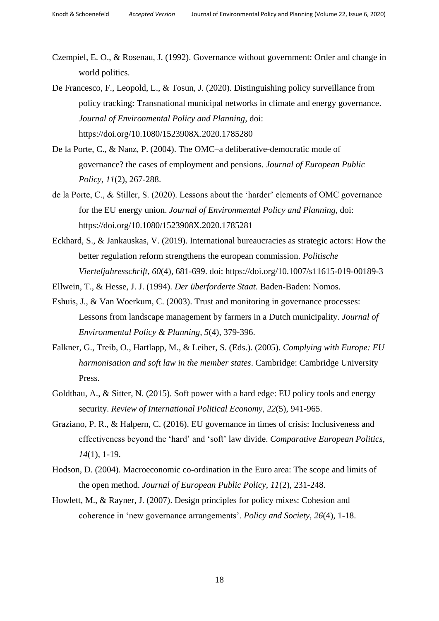- Czempiel, E. O., & Rosenau, J. (1992). Governance without government: Order and change in world politics.
- De Francesco, F., Leopold, L., & Tosun, J. (2020). Distinguishing policy surveillance from policy tracking: Transnational municipal networks in climate and energy governance. *Journal of Environmental Policy and Planning,* doi: https://doi.org/10.1080/1523908X.2020.1785280
- De la Porte, C., & Nanz, P. (2004). The OMC–a deliberative-democratic mode of governance? the cases of employment and pensions. *Journal of European Public Policy, 11*(2), 267-288.
- de la Porte, C., & Stiller, S. (2020). Lessons about the 'harder' elements of OMC governance for the EU energy union. *Journal of Environmental Policy and Planning,* doi: https://doi.org/10.1080/1523908X.2020.1785281
- Eckhard, S., & Jankauskas, V. (2019). International bureaucracies as strategic actors: How the better regulation reform strengthens the european commission. *Politische Vierteljahresschrift, 60*(4), 681-699. doi: https://doi.org/10.1007/s11615-019-00189-3

Ellwein, T., & Hesse, J. J. (1994). *Der überforderte Staat*. Baden-Baden: Nomos.

- Eshuis, J., & Van Woerkum, C. (2003). Trust and monitoring in governance processes: Lessons from landscape management by farmers in a Dutch municipality. *Journal of Environmental Policy & Planning, 5*(4), 379-396.
- Falkner, G., Treib, O., Hartlapp, M., & Leiber, S. (Eds.). (2005). *Complying with Europe: EU harmonisation and soft law in the member states*. Cambridge: Cambridge University Press.
- Goldthau, A., & Sitter, N. (2015). Soft power with a hard edge: EU policy tools and energy security. *Review of International Political Economy, 22*(5), 941-965.
- Graziano, P. R., & Halpern, C. (2016). EU governance in times of crisis: Inclusiveness and effectiveness beyond the 'hard' and 'soft' law divide. *Comparative European Politics, 14*(1), 1-19.
- Hodson, D. (2004). Macroeconomic co-ordination in the Euro area: The scope and limits of the open method. *Journal of European Public Policy, 11*(2), 231-248.
- Howlett, M., & Rayner, J. (2007). Design principles for policy mixes: Cohesion and coherence in 'new governance arrangements'. *Policy and Society, 26*(4), 1-18.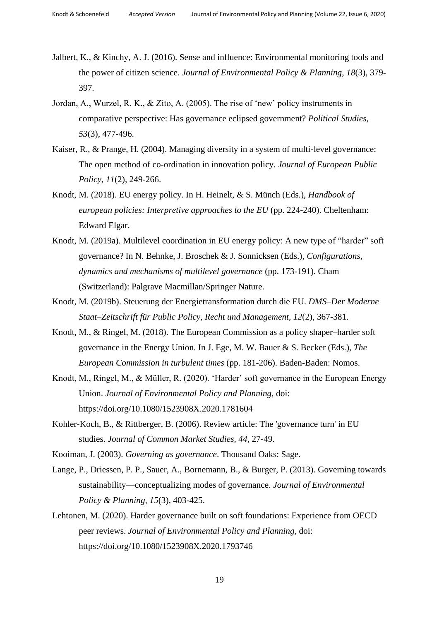- Jalbert, K., & Kinchy, A. J. (2016). Sense and influence: Environmental monitoring tools and the power of citizen science. *Journal of Environmental Policy & Planning, 18*(3), 379- 397.
- Jordan, A., Wurzel, R. K., & Zito, A. (2005). The rise of 'new' policy instruments in comparative perspective: Has governance eclipsed government? *Political Studies, 53*(3), 477-496.
- Kaiser, R., & Prange, H. (2004). Managing diversity in a system of multi-level governance: The open method of co-ordination in innovation policy. *Journal of European Public Policy, 11*(2), 249-266.
- Knodt, M. (2018). EU energy policy. In H. Heinelt, & S. Münch (Eds.), *Handbook of european policies: Interpretive approaches to the EU* (pp. 224-240). Cheltenham: Edward Elgar.
- Knodt, M. (2019a). Multilevel coordination in EU energy policy: A new type of "harder" soft governance? In N. Behnke, J. Broschek & J. Sonnicksen (Eds.), *Configurations, dynamics and mechanisms of multilevel governance* (pp. 173-191). Cham (Switzerland): Palgrave Macmillan/Springer Nature.
- Knodt, M. (2019b). Steuerung der Energietransformation durch die EU. *DMS–Der Moderne Staat–Zeitschrift für Public Policy, Recht und Management, 12*(2), 367-381.
- Knodt, M., & Ringel, M. (2018). The European Commission as a policy shaper–harder soft governance in the Energy Union. In J. Ege, M. W. Bauer & S. Becker (Eds.), *The European Commission in turbulent times* (pp. 181-206). Baden-Baden: Nomos.
- Knodt, M., Ringel, M., & Müller, R. (2020). 'Harder' soft governance in the European Energy Union. *Journal of Environmental Policy and Planning,* doi: https://doi.org/10.1080/1523908X.2020.1781604
- Kohler-Koch, B., & Rittberger, B. (2006). Review article: The 'governance turn' in EU studies. *Journal of Common Market Studies, 44*, 27-49.
- Kooiman, J. (2003). *Governing as governance*. Thousand Oaks: Sage.
- Lange, P., Driessen, P. P., Sauer, A., Bornemann, B., & Burger, P. (2013). Governing towards sustainability—conceptualizing modes of governance. *Journal of Environmental Policy & Planning, 15*(3), 403-425.
- Lehtonen, M. (2020). Harder governance built on soft foundations: Experience from OECD peer reviews. *Journal of Environmental Policy and Planning,* doi: https://doi.org/10.1080/1523908X.2020.1793746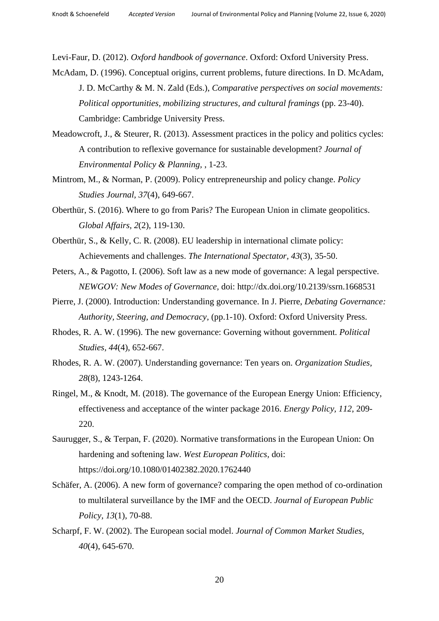Levi-Faur, D. (2012). *Oxford handbook of governance*. Oxford: Oxford University Press.

- McAdam, D. (1996). Conceptual origins, current problems, future directions. In D. McAdam, J. D. McCarthy & M. N. Zald (Eds.), *Comparative perspectives on social movements: Political opportunities, mobilizing structures, and cultural framings* (pp. 23-40). Cambridge: Cambridge University Press.
- Meadowcroft, J., & Steurer, R. (2013). Assessment practices in the policy and politics cycles: A contribution to reflexive governance for sustainable development? *Journal of Environmental Policy & Planning,* , 1-23.
- Mintrom, M., & Norman, P. (2009). Policy entrepreneurship and policy change. *Policy Studies Journal, 37*(4), 649-667.
- Oberthür, S. (2016). Where to go from Paris? The European Union in climate geopolitics. *Global Affairs, 2*(2), 119-130.
- Oberthür, S., & Kelly, C. R. (2008). EU leadership in international climate policy: Achievements and challenges. *The International Spectator, 43*(3), 35-50.
- Peters, A., & Pagotto, I. (2006). Soft law as a new mode of governance: A legal perspective. *NEWGOV: New Modes of Governance,* doi: http://dx.doi.org/10.2139/ssrn.1668531
- Pierre, J. (2000). Introduction: Understanding governance. In J. Pierre, *Debating Governance: Authority, Steering, and Democracy,* (pp.1-10). Oxford: Oxford University Press.
- Rhodes, R. A. W. (1996). The new governance: Governing without government. *Political Studies, 44*(4), 652-667.
- Rhodes, R. A. W. (2007). Understanding governance: Ten years on. *Organization Studies, 28*(8), 1243-1264.
- Ringel, M., & Knodt, M. (2018). The governance of the European Energy Union: Efficiency, effectiveness and acceptance of the winter package 2016. *Energy Policy, 112*, 209- 220.
- Saurugger, S., & Terpan, F. (2020). Normative transformations in the European Union: On hardening and softening law. *West European Politics,* doi: https://doi.org/10.1080/01402382.2020.1762440
- Schäfer, A. (2006). A new form of governance? comparing the open method of co-ordination to multilateral surveillance by the IMF and the OECD. *Journal of European Public Policy, 13*(1), 70-88.
- Scharpf, F. W. (2002). The European social model. *Journal of Common Market Studies, 40*(4), 645-670.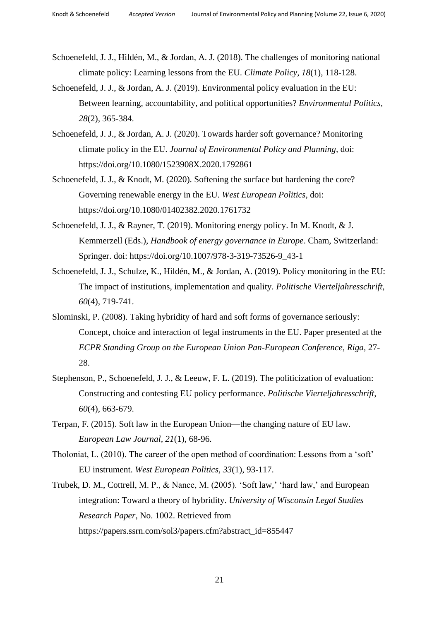- Schoenefeld, J. J., Hildén, M., & Jordan, A. J. (2018). The challenges of monitoring national climate policy: Learning lessons from the EU. *Climate Policy, 18*(1), 118-128.
- Schoenefeld, J. J., & Jordan, A. J. (2019). Environmental policy evaluation in the EU: Between learning, accountability, and political opportunities? *Environmental Politics, 28*(2), 365-384.
- Schoenefeld, J. J., & Jordan, A. J. (2020). Towards harder soft governance? Monitoring climate policy in the EU. *Journal of Environmental Policy and Planning,* doi: https://doi.org/10.1080/1523908X.2020.1792861
- Schoenefeld, J. J., & Knodt, M. (2020). Softening the surface but hardening the core? Governing renewable energy in the EU. *West European Politics,* doi: https://doi.org/10.1080/01402382.2020.1761732
- Schoenefeld, J. J., & Rayner, T. (2019). Monitoring energy policy. In M. Knodt, & J. Kemmerzell (Eds.), *Handbook of energy governance in Europe*. Cham, Switzerland: Springer. doi: https://doi.org/10.1007/978-3-319-73526-9\_43-1
- Schoenefeld, J. J., Schulze, K., Hildén, M., & Jordan, A. (2019). Policy monitoring in the EU: The impact of institutions, implementation and quality. *Politische Vierteljahresschrift, 60*(4), 719-741.
- Slominski, P. (2008). Taking hybridity of hard and soft forms of governance seriously: Concept, choice and interaction of legal instruments in the EU. Paper presented at the *ECPR Standing Group on the European Union Pan-European Conference, Riga,* 27- 28.
- Stephenson, P., Schoenefeld, J. J., & Leeuw, F. L. (2019). The politicization of evaluation: Constructing and contesting EU policy performance. *Politische Vierteljahresschrift, 60*(4), 663-679.
- Terpan, F. (2015). Soft law in the European Union—the changing nature of EU law. *European Law Journal, 21*(1), 68-96.
- Tholoniat, L. (2010). The career of the open method of coordination: Lessons from a 'soft' EU instrument. *West European Politics, 33*(1), 93-117.
- Trubek, D. M., Cottrell, M. P., & Nance, M. (2005). 'Soft law,' 'hard law,' and European integration: Toward a theory of hybridity. *University of Wisconsin Legal Studies Research Paper,* No. 1002. Retrieved from https://papers.ssrn.com/sol3/papers.cfm?abstract\_id=855447